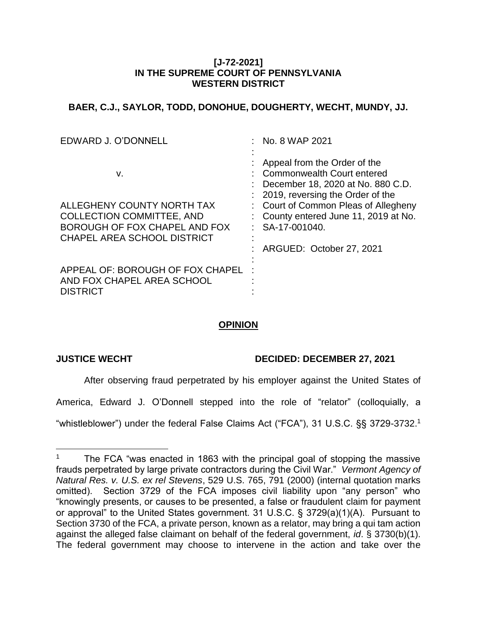### **[J-72-2021] IN THE SUPREME COURT OF PENNSYLVANIA WESTERN DISTRICT**

## **BAER, C.J., SAYLOR, TODD, DONOHUE, DOUGHERTY, WECHT, MUNDY, JJ.**

| EDWARD J. O'DONNELL                                                                                   | No. 8 WAP 2021                                                                                                                                                                                                                          |
|-------------------------------------------------------------------------------------------------------|-----------------------------------------------------------------------------------------------------------------------------------------------------------------------------------------------------------------------------------------|
| v.<br>ALLEGHENY COUNTY NORTH TAX<br><b>COLLECTION COMMITTEE, AND</b><br>BOROUGH OF FOX CHAPEL AND FOX | Appeal from the Order of the<br>Commonwealth Court entered<br>December 18, 2020 at No. 880 C.D.<br>2019, reversing the Order of the<br>: Court of Common Pleas of Allegheny<br>County entered June 11, 2019 at No.<br>$:$ SA-17-001040. |
| <b>CHAPEL AREA SCHOOL DISTRICT</b>                                                                    | ARGUED: October 27, 2021                                                                                                                                                                                                                |
| APPEAL OF: BOROUGH OF FOX CHAPEL<br>AND FOX CHAPEL AREA SCHOOL<br><b>DISTRICT</b>                     |                                                                                                                                                                                                                                         |

# **OPINION**

 $\overline{a}$ 

## **JUSTICE WECHT DECIDED: DECEMBER 27, 2021**

After observing fraud perpetrated by his employer against the United States of

America, Edward J. O'Donnell stepped into the role of "relator" (colloquially, a

"whistleblower") under the federal False Claims Act ("FCA"), 31 U.S.C. §§ 3729-3732. 1

The FCA "was enacted in 1863 with the principal goal of stopping the massive frauds perpetrated by large private contractors during the Civil War." *Vermont Agency of Natural Res. v. U.S. ex rel Stevens*, 529 U.S. 765, 791 (2000) (internal quotation marks omitted). Section 3729 of the FCA imposes civil liability upon "any person" who "knowingly presents, or causes to be presented, a false or fraudulent claim for payment or approval" to the United States government. 31 U.S.C. § 3729(a)(1)(A). Pursuant to Section 3730 of the FCA, a private person, known as a relator, may bring a qui tam action against the alleged false claimant on behalf of the federal government, *id*. § 3730(b)(1). The federal government may choose to intervene in the action and take over the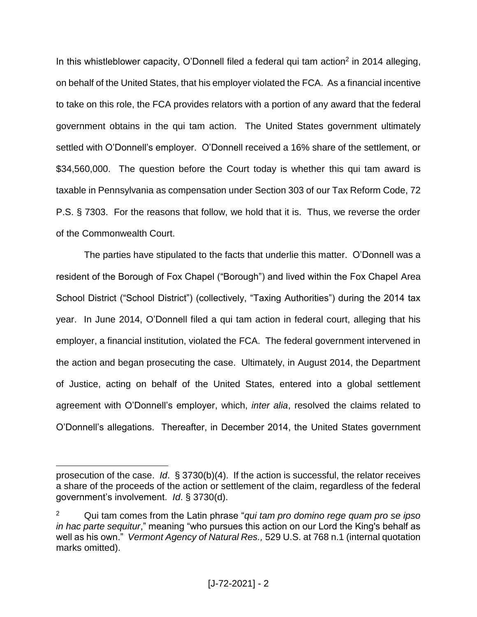In this whistleblower capacity, O'Donnell filed a federal qui tam action<sup>2</sup> in 2014 alleging, on behalf of the United States, that his employer violated the FCA. As a financial incentive to take on this role, the FCA provides relators with a portion of any award that the federal government obtains in the qui tam action. The United States government ultimately settled with O'Donnell's employer. O'Donnell received a 16% share of the settlement, or \$34,560,000. The question before the Court today is whether this qui tam award is taxable in Pennsylvania as compensation under Section 303 of our Tax Reform Code, 72 P.S. § 7303. For the reasons that follow, we hold that it is. Thus, we reverse the order of the Commonwealth Court.

The parties have stipulated to the facts that underlie this matter. O'Donnell was a resident of the Borough of Fox Chapel ("Borough") and lived within the Fox Chapel Area School District ("School District") (collectively, "Taxing Authorities") during the 2014 tax year. In June 2014, O'Donnell filed a qui tam action in federal court, alleging that his employer, a financial institution, violated the FCA. The federal government intervened in the action and began prosecuting the case. Ultimately, in August 2014, the Department of Justice, acting on behalf of the United States, entered into a global settlement agreement with O'Donnell's employer, which, *inter alia*, resolved the claims related to O'Donnell's allegations. Thereafter, in December 2014, the United States government

prosecution of the case. *Id*. § 3730(b)(4). If the action is successful, the relator receives a share of the proceeds of the action or settlement of the claim, regardless of the federal government's involvement. *Id*. § 3730(d).

<sup>2</sup> Qui tam comes from the Latin phrase "*qui tam pro domino rege quam pro se ipso in hac parte sequitur*," meaning "who pursues this action on our Lord the King's behalf as well as his own." *Vermont Agency of Natural Res.,* 529 U.S. at 768 n.1 (internal quotation marks omitted).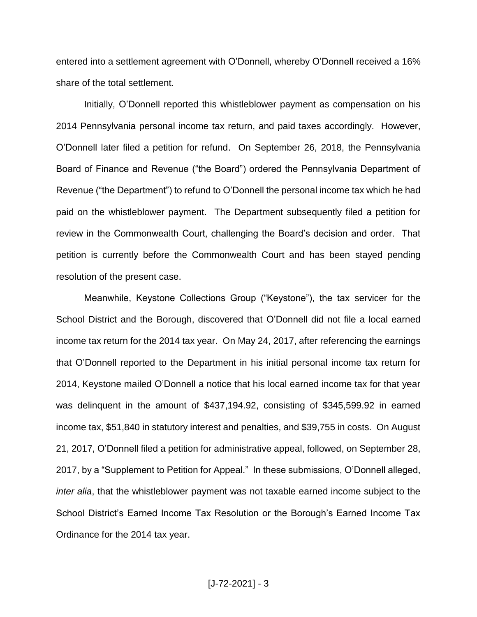entered into a settlement agreement with O'Donnell, whereby O'Donnell received a 16% share of the total settlement.

Initially, O'Donnell reported this whistleblower payment as compensation on his 2014 Pennsylvania personal income tax return, and paid taxes accordingly. However, O'Donnell later filed a petition for refund. On September 26, 2018, the Pennsylvania Board of Finance and Revenue ("the Board") ordered the Pennsylvania Department of Revenue ("the Department") to refund to O'Donnell the personal income tax which he had paid on the whistleblower payment. The Department subsequently filed a petition for review in the Commonwealth Court, challenging the Board's decision and order. That petition is currently before the Commonwealth Court and has been stayed pending resolution of the present case.

Meanwhile, Keystone Collections Group ("Keystone"), the tax servicer for the School District and the Borough, discovered that O'Donnell did not file a local earned income tax return for the 2014 tax year. On May 24, 2017, after referencing the earnings that O'Donnell reported to the Department in his initial personal income tax return for 2014, Keystone mailed O'Donnell a notice that his local earned income tax for that year was delinquent in the amount of \$437,194.92, consisting of \$345,599.92 in earned income tax, \$51,840 in statutory interest and penalties, and \$39,755 in costs. On August 21, 2017, O'Donnell filed a petition for administrative appeal, followed, on September 28, 2017, by a "Supplement to Petition for Appeal." In these submissions, O'Donnell alleged, *inter alia*, that the whistleblower payment was not taxable earned income subject to the School District's Earned Income Tax Resolution or the Borough's Earned Income Tax Ordinance for the 2014 tax year.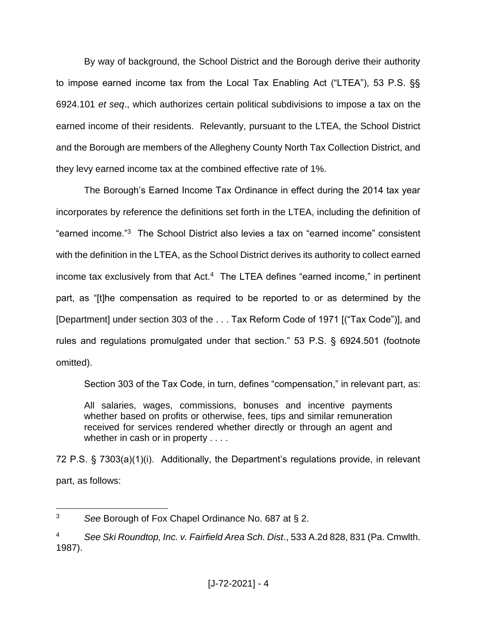By way of background, the School District and the Borough derive their authority to impose earned income tax from the Local Tax Enabling Act ("LTEA"), 53 P.S. §§ 6924.101 *et seq*., which authorizes certain political subdivisions to impose a tax on the earned income of their residents. Relevantly, pursuant to the LTEA, the School District and the Borough are members of the Allegheny County North Tax Collection District, and they levy earned income tax at the combined effective rate of 1%.

The Borough's Earned Income Tax Ordinance in effect during the 2014 tax year incorporates by reference the definitions set forth in the LTEA, including the definition of "earned income."<sup>3</sup> The School District also levies a tax on "earned income" consistent with the definition in the LTEA, as the School District derives its authority to collect earned income tax exclusively from that Act.<sup>4</sup> The LTEA defines "earned income," in pertinent part, as "[t]he compensation as required to be reported to or as determined by the [Department] under section 303 of the . . . Tax Reform Code of 1971 [("Tax Code")], and rules and regulations promulgated under that section." 53 P.S. § 6924.501 (footnote omitted).

Section 303 of the Tax Code, in turn, defines "compensation," in relevant part, as:

All salaries, wages, commissions, bonuses and incentive payments whether based on profits or otherwise, fees, tips and similar remuneration received for services rendered whether directly or through an agent and whether in cash or in property . . . .

72 P.S. § 7303(a)(1)(i). Additionally, the Department's regulations provide, in relevant part, as follows:

<sup>3</sup> *See* Borough of Fox Chapel Ordinance No. 687 at § 2.

<sup>4</sup> *See Ski Roundtop, Inc. v. Fairfield Area Sch. Dist*., 533 A.2d 828, 831 (Pa. Cmwlth. 1987).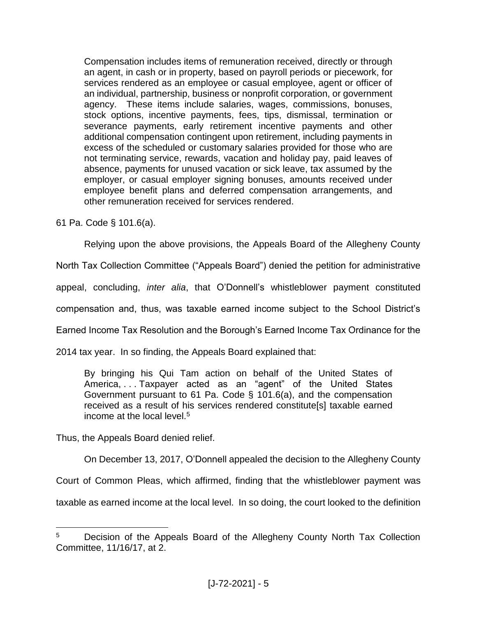Compensation includes items of remuneration received, directly or through an agent, in cash or in property, based on payroll periods or piecework, for services rendered as an employee or casual employee, agent or officer of an individual, partnership, business or nonprofit corporation, or government agency. These items include salaries, wages, commissions, bonuses, stock options, incentive payments, fees, tips, dismissal, termination or severance payments, early retirement incentive payments and other additional compensation contingent upon retirement, including payments in excess of the scheduled or customary salaries provided for those who are not terminating service, rewards, vacation and holiday pay, paid leaves of absence, payments for unused vacation or sick leave, tax assumed by the employer, or casual employer signing bonuses, amounts received under employee benefit plans and deferred compensation arrangements, and other remuneration received for services rendered.

61 Pa. Code § 101.6(a).

Relying upon the above provisions, the Appeals Board of the Allegheny County

North Tax Collection Committee ("Appeals Board") denied the petition for administrative

appeal, concluding, *inter alia*, that O'Donnell's whistleblower payment constituted

compensation and, thus, was taxable earned income subject to the School District's

Earned Income Tax Resolution and the Borough's Earned Income Tax Ordinance for the

2014 tax year. In so finding, the Appeals Board explained that:

By bringing his Qui Tam action on behalf of the United States of America, . . . Taxpayer acted as an "agent" of the United States Government pursuant to 61 Pa. Code § 101.6(a), and the compensation received as a result of his services rendered constitute[s] taxable earned income at the local level.<sup>5</sup>

Thus, the Appeals Board denied relief.

 $\overline{a}$ 

On December 13, 2017, O'Donnell appealed the decision to the Allegheny County

Court of Common Pleas, which affirmed, finding that the whistleblower payment was

taxable as earned income at the local level. In so doing, the court looked to the definition

<sup>&</sup>lt;sup>5</sup> Decision of the Appeals Board of the Allegheny County North Tax Collection Committee, 11/16/17, at 2.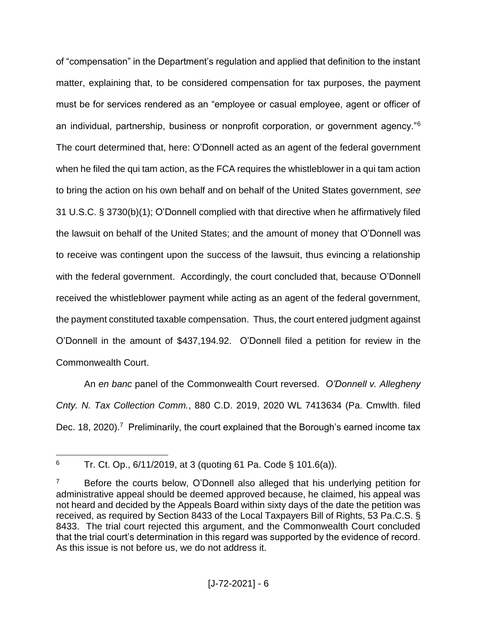of "compensation" in the Department's regulation and applied that definition to the instant matter, explaining that, to be considered compensation for tax purposes, the payment must be for services rendered as an "employee or casual employee, agent or officer of an individual, partnership, business or nonprofit corporation, or government agency."<sup>6</sup> The court determined that, here: O'Donnell acted as an agent of the federal government when he filed the qui tam action, as the FCA requires the whistleblower in a qui tam action to bring the action on his own behalf and on behalf of the United States government, *see* 31 U.S.C. § 3730(b)(1); O'Donnell complied with that directive when he affirmatively filed the lawsuit on behalf of the United States; and the amount of money that O'Donnell was to receive was contingent upon the success of the lawsuit, thus evincing a relationship with the federal government. Accordingly, the court concluded that, because O'Donnell received the whistleblower payment while acting as an agent of the federal government, the payment constituted taxable compensation. Thus, the court entered judgment against O'Donnell in the amount of \$437,194.92. O'Donnell filed a petition for review in the Commonwealth Court.

An *en banc* panel of the Commonwealth Court reversed. *O'Donnell v. Allegheny Cnty. N. Tax Collection Comm.*, 880 C.D. 2019, 2020 WL 7413634 (Pa. Cmwlth. filed Dec. 18, 2020).<sup>7</sup> Preliminarily, the court explained that the Borough's earned income tax

 $\overline{a}$ <sup>6</sup> Tr. Ct. Op.,  $6/11/2019$ , at 3 (quoting 61 Pa. Code § 101.6(a)).

Before the courts below, O'Donnell also alleged that his underlying petition for administrative appeal should be deemed approved because, he claimed, his appeal was not heard and decided by the Appeals Board within sixty days of the date the petition was received, as required by Section 8433 of the Local Taxpayers Bill of Rights, 53 Pa.C.S. § 8433. The trial court rejected this argument, and the Commonwealth Court concluded that the trial court's determination in this regard was supported by the evidence of record. As this issue is not before us, we do not address it.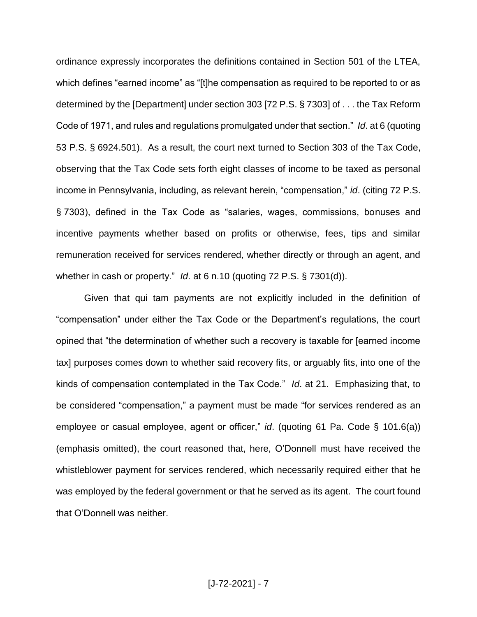ordinance expressly incorporates the definitions contained in Section 501 of the LTEA, which defines "earned income" as "[t]he compensation as required to be reported to or as determined by the [Department] under section 303 [72 P.S. § 7303] of . . . the Tax Reform Code of 1971, and rules and regulations promulgated under that section." *Id*. at 6 (quoting 53 P.S. § 6924.501). As a result, the court next turned to Section 303 of the Tax Code, observing that the Tax Code sets forth eight classes of income to be taxed as personal income in Pennsylvania, including, as relevant herein, "compensation," *id*. (citing 72 P.S. § 7303), defined in the Tax Code as "salaries, wages, commissions, bonuses and incentive payments whether based on profits or otherwise, fees, tips and similar remuneration received for services rendered, whether directly or through an agent, and whether in cash or property." *Id*. at 6 n.10 (quoting 72 P.S. § 7301(d)).

Given that qui tam payments are not explicitly included in the definition of "compensation" under either the Tax Code or the Department's regulations, the court opined that "the determination of whether such a recovery is taxable for [earned income tax] purposes comes down to whether said recovery fits, or arguably fits, into one of the kinds of compensation contemplated in the Tax Code." *Id*. at 21. Emphasizing that, to be considered "compensation," a payment must be made "for services rendered as an employee or casual employee, agent or officer," *id*. (quoting 61 Pa. Code § 101.6(a)) (emphasis omitted), the court reasoned that, here, O'Donnell must have received the whistleblower payment for services rendered, which necessarily required either that he was employed by the federal government or that he served as its agent. The court found that O'Donnell was neither.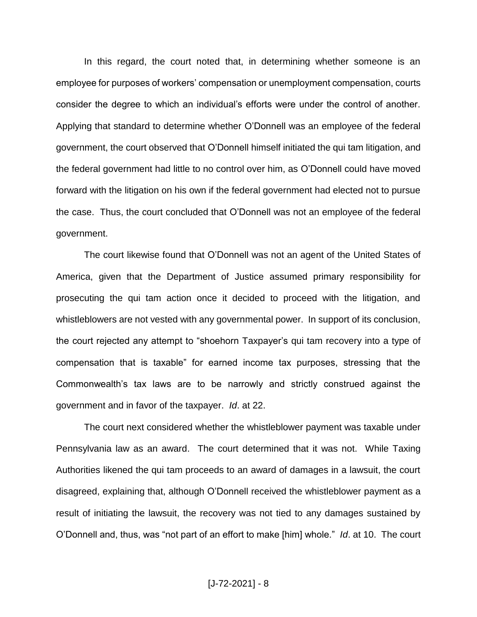In this regard, the court noted that, in determining whether someone is an employee for purposes of workers' compensation or unemployment compensation, courts consider the degree to which an individual's efforts were under the control of another. Applying that standard to determine whether O'Donnell was an employee of the federal government, the court observed that O'Donnell himself initiated the qui tam litigation, and the federal government had little to no control over him, as O'Donnell could have moved forward with the litigation on his own if the federal government had elected not to pursue the case. Thus, the court concluded that O'Donnell was not an employee of the federal government.

The court likewise found that O'Donnell was not an agent of the United States of America, given that the Department of Justice assumed primary responsibility for prosecuting the qui tam action once it decided to proceed with the litigation, and whistleblowers are not vested with any governmental power. In support of its conclusion, the court rejected any attempt to "shoehorn Taxpayer's qui tam recovery into a type of compensation that is taxable" for earned income tax purposes, stressing that the Commonwealth's tax laws are to be narrowly and strictly construed against the government and in favor of the taxpayer. *Id*. at 22.

The court next considered whether the whistleblower payment was taxable under Pennsylvania law as an award. The court determined that it was not. While Taxing Authorities likened the qui tam proceeds to an award of damages in a lawsuit, the court disagreed, explaining that, although O'Donnell received the whistleblower payment as a result of initiating the lawsuit, the recovery was not tied to any damages sustained by O'Donnell and, thus, was "not part of an effort to make [him] whole." *Id*. at 10. The court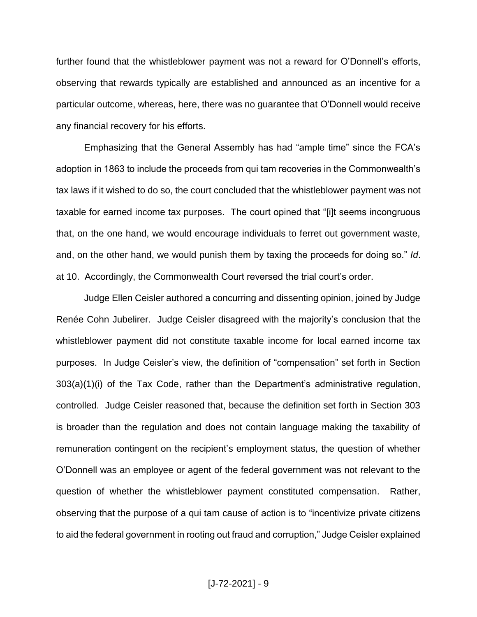further found that the whistleblower payment was not a reward for O'Donnell's efforts, observing that rewards typically are established and announced as an incentive for a particular outcome, whereas, here, there was no guarantee that O'Donnell would receive any financial recovery for his efforts.

Emphasizing that the General Assembly has had "ample time" since the FCA's adoption in 1863 to include the proceeds from qui tam recoveries in the Commonwealth's tax laws if it wished to do so, the court concluded that the whistleblower payment was not taxable for earned income tax purposes. The court opined that "[i]t seems incongruous that, on the one hand, we would encourage individuals to ferret out government waste, and, on the other hand, we would punish them by taxing the proceeds for doing so." *Id*. at 10. Accordingly, the Commonwealth Court reversed the trial court's order.

Judge Ellen Ceisler authored a concurring and dissenting opinion, joined by Judge Renée Cohn Jubelirer. Judge Ceisler disagreed with the majority's conclusion that the whistleblower payment did not constitute taxable income for local earned income tax purposes. In Judge Ceisler's view, the definition of "compensation" set forth in Section 303(a)(1)(i) of the Tax Code, rather than the Department's administrative regulation, controlled. Judge Ceisler reasoned that, because the definition set forth in Section 303 is broader than the regulation and does not contain language making the taxability of remuneration contingent on the recipient's employment status, the question of whether O'Donnell was an employee or agent of the federal government was not relevant to the question of whether the whistleblower payment constituted compensation. Rather, observing that the purpose of a qui tam cause of action is to "incentivize private citizens to aid the federal government in rooting out fraud and corruption," Judge Ceisler explained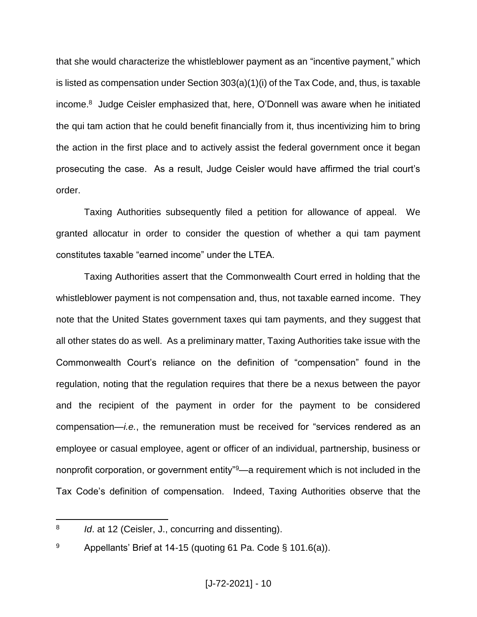that she would characterize the whistleblower payment as an "incentive payment," which is listed as compensation under Section 303(a)(1)(i) of the Tax Code, and, thus, is taxable income.<sup>8</sup> Judge Ceisler emphasized that, here, O'Donnell was aware when he initiated the qui tam action that he could benefit financially from it, thus incentivizing him to bring the action in the first place and to actively assist the federal government once it began prosecuting the case. As a result, Judge Ceisler would have affirmed the trial court's order.

Taxing Authorities subsequently filed a petition for allowance of appeal. We granted allocatur in order to consider the question of whether a qui tam payment constitutes taxable "earned income" under the LTEA.

Taxing Authorities assert that the Commonwealth Court erred in holding that the whistleblower payment is not compensation and, thus, not taxable earned income. They note that the United States government taxes qui tam payments, and they suggest that all other states do as well. As a preliminary matter, Taxing Authorities take issue with the Commonwealth Court's reliance on the definition of "compensation" found in the regulation, noting that the regulation requires that there be a nexus between the payor and the recipient of the payment in order for the payment to be considered compensation—*i.e.*, the remuneration must be received for "services rendered as an employee or casual employee, agent or officer of an individual, partnership, business or nonprofit corporation, or government entity<sup>"9</sup>—a requirement which is not included in the Tax Code's definition of compensation. Indeed, Taxing Authorities observe that the

 $\overline{a}$ 8 *Id*. at 12 (Ceisler, J., concurring and dissenting).

<sup>&</sup>lt;sup>9</sup> Appellants' Brief at 14-15 (quoting 61 Pa. Code § 101.6(a)).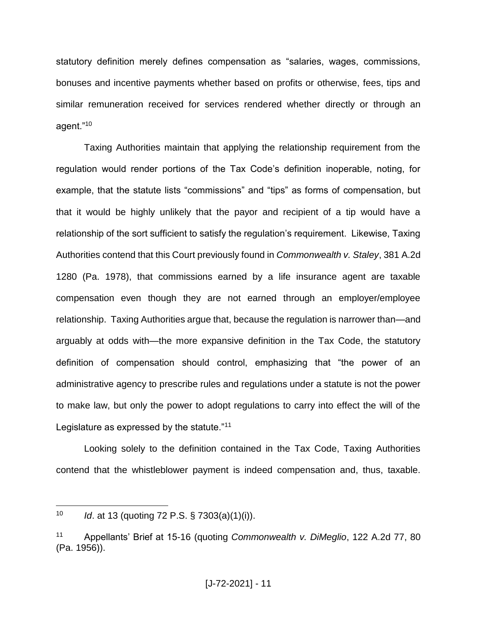statutory definition merely defines compensation as "salaries, wages, commissions, bonuses and incentive payments whether based on profits or otherwise, fees, tips and similar remuneration received for services rendered whether directly or through an agent."<sup>10</sup>

Taxing Authorities maintain that applying the relationship requirement from the regulation would render portions of the Tax Code's definition inoperable, noting, for example, that the statute lists "commissions" and "tips" as forms of compensation, but that it would be highly unlikely that the payor and recipient of a tip would have a relationship of the sort sufficient to satisfy the regulation's requirement. Likewise, Taxing Authorities contend that this Court previously found in *Commonwealth v. Staley*, 381 A.2d 1280 (Pa. 1978), that commissions earned by a life insurance agent are taxable compensation even though they are not earned through an employer/employee relationship. Taxing Authorities argue that, because the regulation is narrower than—and arguably at odds with—the more expansive definition in the Tax Code, the statutory definition of compensation should control, emphasizing that "the power of an administrative agency to prescribe rules and regulations under a statute is not the power to make law, but only the power to adopt regulations to carry into effect the will of the Legislature as expressed by the statute."<sup>11</sup>

Looking solely to the definition contained in the Tax Code, Taxing Authorities contend that the whistleblower payment is indeed compensation and, thus, taxable.

<sup>10</sup> *Id*. at 13 (quoting 72 P.S. § 7303(a)(1)(i)).

<sup>11</sup> Appellants' Brief at 15-16 (quoting *Commonwealth v. DiMeglio*, 122 A.2d 77, 80 (Pa. 1956)).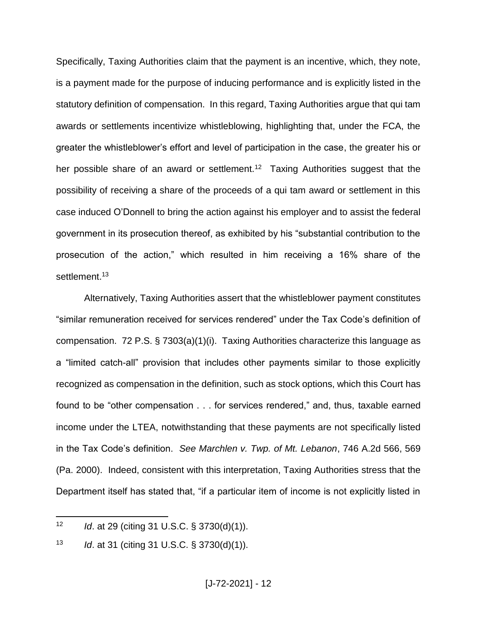Specifically, Taxing Authorities claim that the payment is an incentive, which, they note, is a payment made for the purpose of inducing performance and is explicitly listed in the statutory definition of compensation. In this regard, Taxing Authorities argue that qui tam awards or settlements incentivize whistleblowing, highlighting that, under the FCA, the greater the whistleblower's effort and level of participation in the case, the greater his or her possible share of an award or settlement.<sup>12</sup> Taxing Authorities suggest that the possibility of receiving a share of the proceeds of a qui tam award or settlement in this case induced O'Donnell to bring the action against his employer and to assist the federal government in its prosecution thereof, as exhibited by his "substantial contribution to the prosecution of the action," which resulted in him receiving a 16% share of the settlement.<sup>13</sup>

Alternatively, Taxing Authorities assert that the whistleblower payment constitutes "similar remuneration received for services rendered" under the Tax Code's definition of compensation. 72 P.S. § 7303(a)(1)(i). Taxing Authorities characterize this language as a "limited catch-all" provision that includes other payments similar to those explicitly recognized as compensation in the definition, such as stock options, which this Court has found to be "other compensation . . . for services rendered," and, thus, taxable earned income under the LTEA, notwithstanding that these payments are not specifically listed in the Tax Code's definition. *See Marchlen v. Twp. of Mt. Lebanon*, 746 A.2d 566, 569 (Pa. 2000). Indeed, consistent with this interpretation, Taxing Authorities stress that the Department itself has stated that, "if a particular item of income is not explicitly listed in

<sup>12</sup> *Id*. at 29 (citing 31 U.S.C. § 3730(d)(1)).

<sup>13</sup> *Id*. at 31 (citing 31 U.S.C. § 3730(d)(1)).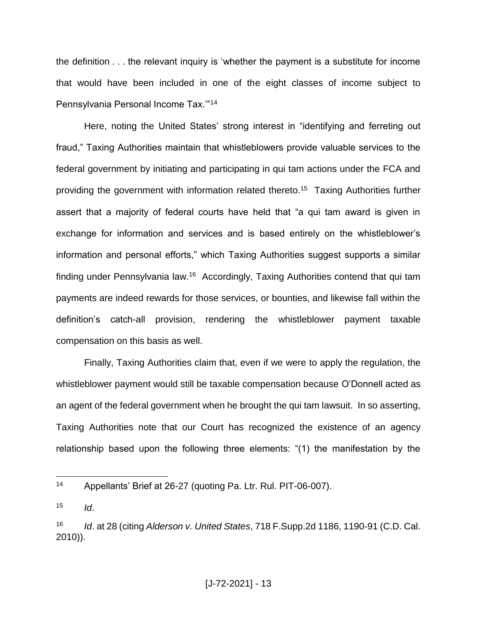the definition . . . the relevant inquiry is 'whether the payment is a substitute for income that would have been included in one of the eight classes of income subject to Pennsylvania Personal Income Tax.'"<sup>14</sup>

Here, noting the United States' strong interest in "identifying and ferreting out fraud," Taxing Authorities maintain that whistleblowers provide valuable services to the federal government by initiating and participating in qui tam actions under the FCA and providing the government with information related thereto.<sup>15</sup> Taxing Authorities further assert that a majority of federal courts have held that "a qui tam award is given in exchange for information and services and is based entirely on the whistleblower's information and personal efforts," which Taxing Authorities suggest supports a similar finding under Pennsylvania law.<sup>16</sup> Accordingly, Taxing Authorities contend that qui tam payments are indeed rewards for those services, or bounties, and likewise fall within the definition's catch-all provision, rendering the whistleblower payment taxable compensation on this basis as well.

Finally, Taxing Authorities claim that, even if we were to apply the regulation, the whistleblower payment would still be taxable compensation because O'Donnell acted as an agent of the federal government when he brought the qui tam lawsuit. In so asserting, Taxing Authorities note that our Court has recognized the existence of an agency relationship based upon the following three elements: "(1) the manifestation by the

<sup>14</sup> Appellants' Brief at 26-27 (quoting Pa. Ltr. Rul. PIT-06-007).

 $15$  *Id.* 

<sup>16</sup> *Id*. at 28 (citing *Alderson v. United States*, 718 F.Supp.2d 1186, 1190-91 (C.D. Cal. 2010)).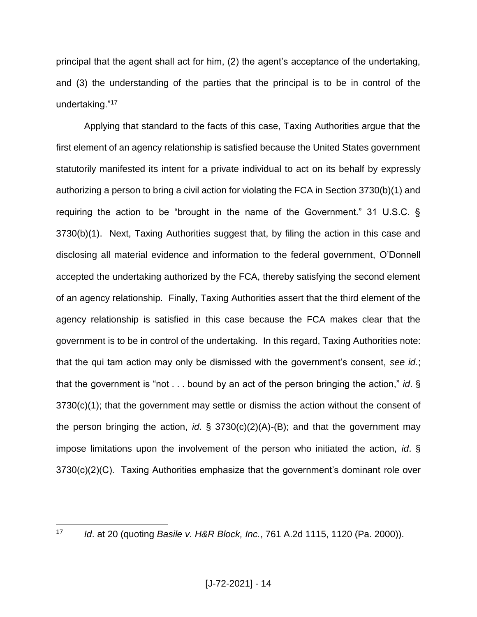principal that the agent shall act for him, (2) the agent's acceptance of the undertaking, and (3) the understanding of the parties that the principal is to be in control of the undertaking."<sup>17</sup>

Applying that standard to the facts of this case, Taxing Authorities argue that the first element of an agency relationship is satisfied because the United States government statutorily manifested its intent for a private individual to act on its behalf by expressly authorizing a person to bring a civil action for violating the FCA in Section 3730(b)(1) and requiring the action to be "brought in the name of the Government." 31 U.S.C. § 3730(b)(1). Next, Taxing Authorities suggest that, by filing the action in this case and disclosing all material evidence and information to the federal government, O'Donnell accepted the undertaking authorized by the FCA, thereby satisfying the second element of an agency relationship. Finally, Taxing Authorities assert that the third element of the agency relationship is satisfied in this case because the FCA makes clear that the government is to be in control of the undertaking. In this regard, Taxing Authorities note: that the qui tam action may only be dismissed with the government's consent, *see id.*; that the government is "not . . . bound by an act of the person bringing the action," *id*. § 3730(c)(1); that the government may settle or dismiss the action without the consent of the person bringing the action, *id*. § 3730(c)(2)(A)-(B); and that the government may impose limitations upon the involvement of the person who initiated the action, *id*. § 3730(c)(2)(C). Taxing Authorities emphasize that the government's dominant role over

<sup>17</sup> *Id*. at 20 (quoting *Basile v. H&R Block, Inc.*, 761 A.2d 1115, 1120 (Pa. 2000)).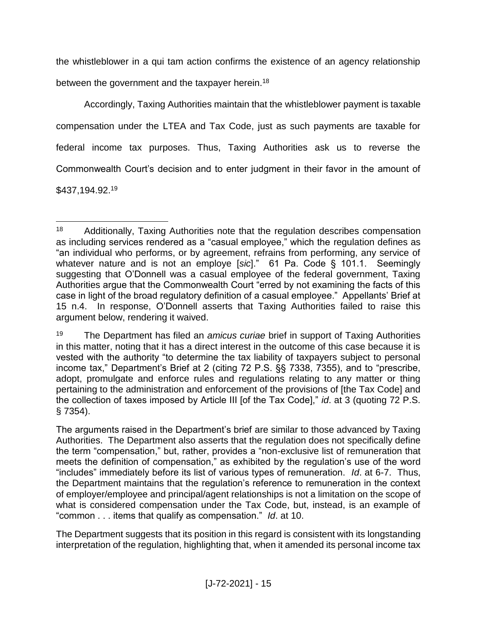the whistleblower in a qui tam action confirms the existence of an agency relationship between the government and the taxpayer herein.<sup>18</sup>

Accordingly, Taxing Authorities maintain that the whistleblower payment is taxable compensation under the LTEA and Tax Code, just as such payments are taxable for federal income tax purposes. Thus, Taxing Authorities ask us to reverse the Commonwealth Court's decision and to enter judgment in their favor in the amount of \$437,194.92.<sup>19</sup>

 $\overline{a}$ <sup>18</sup> Additionally, Taxing Authorities note that the regulation describes compensation as including services rendered as a "casual employee," which the regulation defines as "an individual who performs, or by agreement, refrains from performing, any service of whatever nature and is not an employe [*sic*]." 61 Pa. Code § 101.1. Seemingly suggesting that O'Donnell was a casual employee of the federal government, Taxing Authorities argue that the Commonwealth Court "erred by not examining the facts of this case in light of the broad regulatory definition of a casual employee." Appellants' Brief at 15 n.4. In response, O'Donnell asserts that Taxing Authorities failed to raise this argument below, rendering it waived.

<sup>19</sup> The Department has filed an *amicus curiae* brief in support of Taxing Authorities in this matter, noting that it has a direct interest in the outcome of this case because it is vested with the authority "to determine the tax liability of taxpayers subject to personal income tax," Department's Brief at 2 (citing 72 P.S. §§ 7338, 7355), and to "prescribe, adopt, promulgate and enforce rules and regulations relating to any matter or thing pertaining to the administration and enforcement of the provisions of [the Tax Code] and the collection of taxes imposed by Article III [of the Tax Code]," *id*. at 3 (quoting 72 P.S. § 7354).

The arguments raised in the Department's brief are similar to those advanced by Taxing Authorities. The Department also asserts that the regulation does not specifically define the term "compensation," but, rather, provides a "non-exclusive list of remuneration that meets the definition of compensation," as exhibited by the regulation's use of the word "includes" immediately before its list of various types of remuneration. *Id*. at 6-7. Thus, the Department maintains that the regulation's reference to remuneration in the context of employer/employee and principal/agent relationships is not a limitation on the scope of what is considered compensation under the Tax Code, but, instead, is an example of "common . . . items that qualify as compensation." *Id*. at 10.

The Department suggests that its position in this regard is consistent with its longstanding interpretation of the regulation, highlighting that, when it amended its personal income tax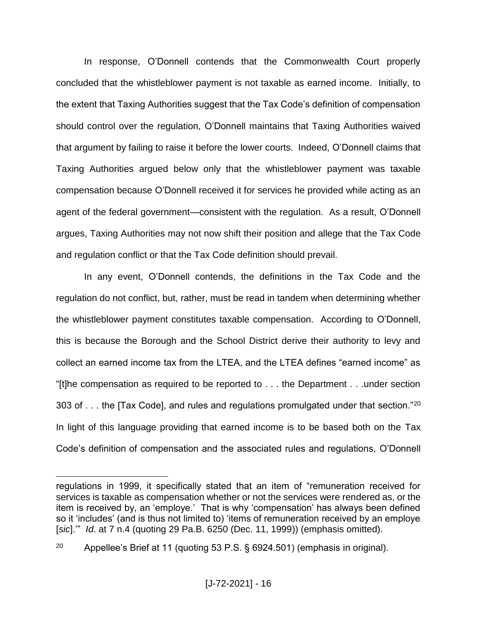In response, O'Donnell contends that the Commonwealth Court properly concluded that the whistleblower payment is not taxable as earned income. Initially, to the extent that Taxing Authorities suggest that the Tax Code's definition of compensation should control over the regulation, O'Donnell maintains that Taxing Authorities waived that argument by failing to raise it before the lower courts. Indeed, O'Donnell claims that Taxing Authorities argued below only that the whistleblower payment was taxable compensation because O'Donnell received it for services he provided while acting as an agent of the federal government—consistent with the regulation. As a result, O'Donnell argues, Taxing Authorities may not now shift their position and allege that the Tax Code and regulation conflict or that the Tax Code definition should prevail.

In any event, O'Donnell contends, the definitions in the Tax Code and the regulation do not conflict, but, rather, must be read in tandem when determining whether the whistleblower payment constitutes taxable compensation. According to O'Donnell, this is because the Borough and the School District derive their authority to levy and collect an earned income tax from the LTEA, and the LTEA defines "earned income" as "[t]he compensation as required to be reported to . . . the Department . . .under section 303 of  $\dots$  the [Tax Code], and rules and regulations promulgated under that section."<sup>20</sup> In light of this language providing that earned income is to be based both on the Tax Code's definition of compensation and the associated rules and regulations, O'Donnell

regulations in 1999, it specifically stated that an item of "remuneration received for services is taxable as compensation whether or not the services were rendered as, or the item is received by, an 'employe.' That is why 'compensation' has always been defined so it 'includes' (and is thus not limited to) 'items of remuneration received by an employe [*sic*].'" *Id*. at 7 n.4 (quoting 29 Pa.B. 6250 (Dec. 11, 1999)) (emphasis omitted).

<sup>&</sup>lt;sup>20</sup> Appellee's Brief at 11 (quoting 53 P.S.  $\S$  6924.501) (emphasis in original).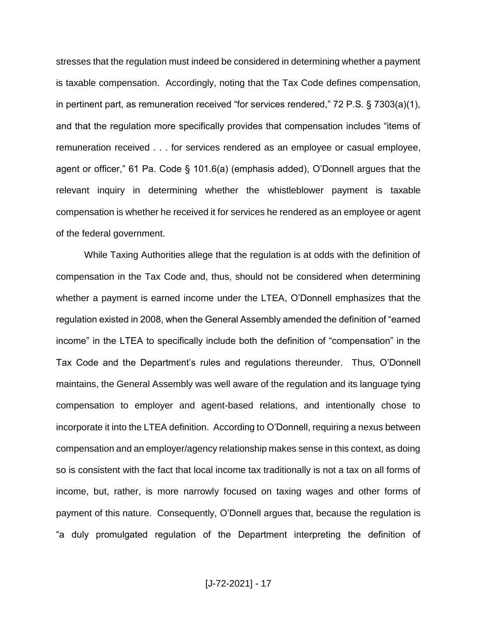stresses that the regulation must indeed be considered in determining whether a payment is taxable compensation. Accordingly, noting that the Tax Code defines compensation, in pertinent part, as remuneration received "for services rendered," 72 P.S. § 7303(a)(1), and that the regulation more specifically provides that compensation includes "items of remuneration received . . . for services rendered as an employee or casual employee, agent or officer," 61 Pa. Code § 101.6(a) (emphasis added), O'Donnell argues that the relevant inquiry in determining whether the whistleblower payment is taxable compensation is whether he received it for services he rendered as an employee or agent of the federal government.

While Taxing Authorities allege that the regulation is at odds with the definition of compensation in the Tax Code and, thus, should not be considered when determining whether a payment is earned income under the LTEA, O'Donnell emphasizes that the regulation existed in 2008, when the General Assembly amended the definition of "earned income" in the LTEA to specifically include both the definition of "compensation" in the Tax Code and the Department's rules and regulations thereunder. Thus, O'Donnell maintains, the General Assembly was well aware of the regulation and its language tying compensation to employer and agent-based relations, and intentionally chose to incorporate it into the LTEA definition. According to O'Donnell, requiring a nexus between compensation and an employer/agency relationship makes sense in this context, as doing so is consistent with the fact that local income tax traditionally is not a tax on all forms of income, but, rather, is more narrowly focused on taxing wages and other forms of payment of this nature. Consequently, O'Donnell argues that, because the regulation is "a duly promulgated regulation of the Department interpreting the definition of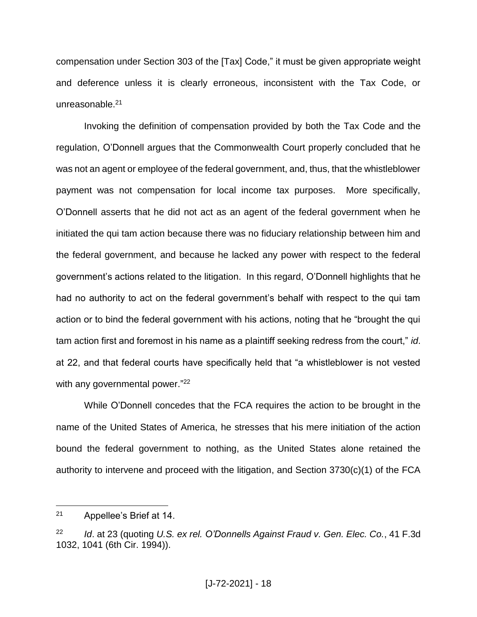compensation under Section 303 of the [Tax] Code," it must be given appropriate weight and deference unless it is clearly erroneous, inconsistent with the Tax Code, or unreasonable.<sup>21</sup>

Invoking the definition of compensation provided by both the Tax Code and the regulation, O'Donnell argues that the Commonwealth Court properly concluded that he was not an agent or employee of the federal government, and, thus, that the whistleblower payment was not compensation for local income tax purposes. More specifically, O'Donnell asserts that he did not act as an agent of the federal government when he initiated the qui tam action because there was no fiduciary relationship between him and the federal government, and because he lacked any power with respect to the federal government's actions related to the litigation. In this regard, O'Donnell highlights that he had no authority to act on the federal government's behalf with respect to the qui tam action or to bind the federal government with his actions, noting that he "brought the qui tam action first and foremost in his name as a plaintiff seeking redress from the court," *id*. at 22, and that federal courts have specifically held that "a whistleblower is not vested with any governmental power."<sup>22</sup>

While O'Donnell concedes that the FCA requires the action to be brought in the name of the United States of America, he stresses that his mere initiation of the action bound the federal government to nothing, as the United States alone retained the authority to intervene and proceed with the litigation, and Section 3730(c)(1) of the FCA

<sup>21</sup> Appellee's Brief at 14.

<sup>22</sup> *Id*. at 23 (quoting *U.S. ex rel. O'Donnells Against Fraud v. Gen. Elec. Co.*, 41 F.3d 1032, 1041 (6th Cir. 1994)).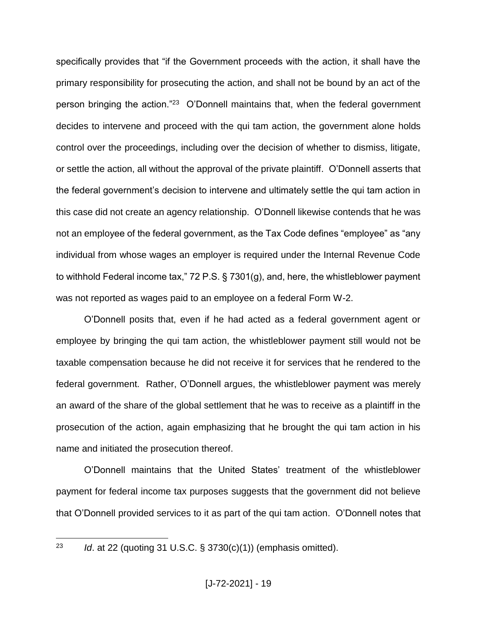specifically provides that "if the Government proceeds with the action, it shall have the primary responsibility for prosecuting the action, and shall not be bound by an act of the person bringing the action."<sup>23</sup> O'Donnell maintains that, when the federal government decides to intervene and proceed with the qui tam action, the government alone holds control over the proceedings, including over the decision of whether to dismiss, litigate, or settle the action, all without the approval of the private plaintiff. O'Donnell asserts that the federal government's decision to intervene and ultimately settle the qui tam action in this case did not create an agency relationship. O'Donnell likewise contends that he was not an employee of the federal government, as the Tax Code defines "employee" as "any individual from whose wages an employer is required under the Internal Revenue Code to withhold Federal income tax," 72 P.S. § 7301(g), and, here, the whistleblower payment was not reported as wages paid to an employee on a federal Form W-2.

O'Donnell posits that, even if he had acted as a federal government agent or employee by bringing the qui tam action, the whistleblower payment still would not be taxable compensation because he did not receive it for services that he rendered to the federal government. Rather, O'Donnell argues, the whistleblower payment was merely an award of the share of the global settlement that he was to receive as a plaintiff in the prosecution of the action, again emphasizing that he brought the qui tam action in his name and initiated the prosecution thereof.

O'Donnell maintains that the United States' treatment of the whistleblower payment for federal income tax purposes suggests that the government did not believe that O'Donnell provided services to it as part of the qui tam action. O'Donnell notes that

23 <sup>23</sup> *Id*. at 22 (quoting 31 U.S.C. § 3730(c)(1)) (emphasis omitted).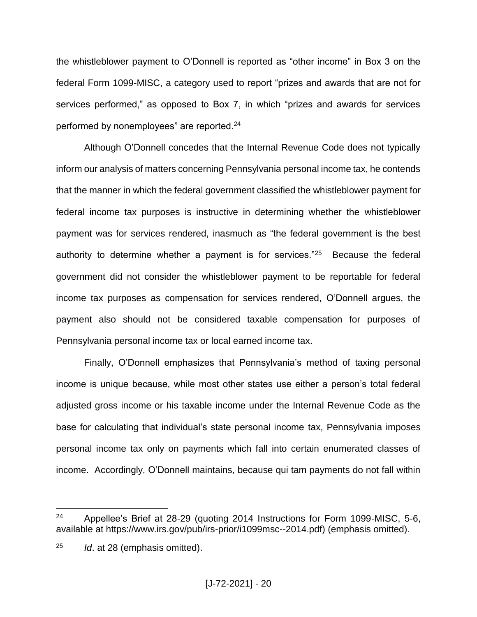the whistleblower payment to O'Donnell is reported as "other income" in Box 3 on the federal Form 1099-MISC, a category used to report "prizes and awards that are not for services performed," as opposed to Box 7, in which "prizes and awards for services performed by nonemployees" are reported.<sup>24</sup>

Although O'Donnell concedes that the Internal Revenue Code does not typically inform our analysis of matters concerning Pennsylvania personal income tax, he contends that the manner in which the federal government classified the whistleblower payment for federal income tax purposes is instructive in determining whether the whistleblower payment was for services rendered, inasmuch as "the federal government is the best authority to determine whether a payment is for services."<sup>25</sup> Because the federal government did not consider the whistleblower payment to be reportable for federal income tax purposes as compensation for services rendered, O'Donnell argues, the payment also should not be considered taxable compensation for purposes of Pennsylvania personal income tax or local earned income tax.

Finally, O'Donnell emphasizes that Pennsylvania's method of taxing personal income is unique because, while most other states use either a person's total federal adjusted gross income or his taxable income under the Internal Revenue Code as the base for calculating that individual's state personal income tax, Pennsylvania imposes personal income tax only on payments which fall into certain enumerated classes of income. Accordingly, O'Donnell maintains, because qui tam payments do not fall within

<sup>&</sup>lt;sup>24</sup> Appellee's Brief at 28-29 (quoting 2014 Instructions for Form 1099-MISC, 5-6, available at https://www.irs.gov/pub/irs-prior/i1099msc--2014.pdf) (emphasis omitted).

<sup>25</sup> *Id*. at 28 (emphasis omitted).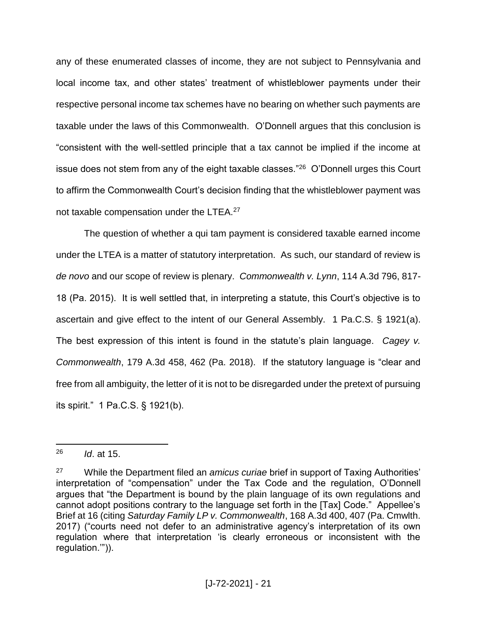any of these enumerated classes of income, they are not subject to Pennsylvania and local income tax, and other states' treatment of whistleblower payments under their respective personal income tax schemes have no bearing on whether such payments are taxable under the laws of this Commonwealth. O'Donnell argues that this conclusion is "consistent with the well-settled principle that a tax cannot be implied if the income at issue does not stem from any of the eight taxable classes."<sup>26</sup> O'Donnell urges this Court to affirm the Commonwealth Court's decision finding that the whistleblower payment was not taxable compensation under the LTEA.<sup>27</sup>

The question of whether a qui tam payment is considered taxable earned income under the LTEA is a matter of statutory interpretation. As such, our standard of review is *de novo* and our scope of review is plenary. *Commonwealth v. Lynn*, 114 A.3d 796, 817- 18 (Pa. 2015). It is well settled that, in interpreting a statute, this Court's objective is to ascertain and give effect to the intent of our General Assembly. 1 Pa.C.S. § 1921(a). The best expression of this intent is found in the statute's plain language. *Cagey v. Commonwealth*, 179 A.3d 458, 462 (Pa. 2018). If the statutory language is "clear and free from all ambiguity, the letter of it is not to be disregarded under the pretext of pursuing its spirit." 1 Pa.C.S. § 1921(b).

<sup>26</sup> *Id*. at 15.

<sup>27</sup> While the Department filed an *amicus curiae* brief in support of Taxing Authorities' interpretation of "compensation" under the Tax Code and the regulation, O'Donnell argues that "the Department is bound by the plain language of its own regulations and cannot adopt positions contrary to the language set forth in the [Tax] Code." Appellee's Brief at 16 (citing *Saturday Family LP v. Commonwealth*, 168 A.3d 400, 407 (Pa. Cmwlth. 2017) ("courts need not defer to an administrative agency's interpretation of its own regulation where that interpretation 'is clearly erroneous or inconsistent with the regulation.'")).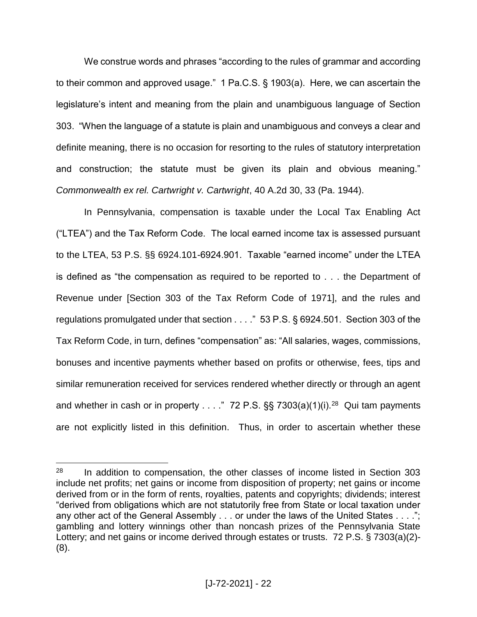We construe words and phrases "according to the rules of grammar and according to their common and approved usage." 1 Pa.C.S. § 1903(a). Here, we can ascertain the legislature's intent and meaning from the plain and unambiguous language of Section 303. "When the language of a statute is plain and unambiguous and conveys a clear and definite meaning, there is no occasion for resorting to the rules of statutory interpretation and construction; the statute must be given its plain and obvious meaning." *Commonwealth ex rel. Cartwright v. Cartwright*, 40 A.2d 30, 33 (Pa. 1944).

In Pennsylvania, compensation is taxable under the Local Tax Enabling Act ("LTEA") and the Tax Reform Code. The local earned income tax is assessed pursuant to the LTEA, 53 P.S. §§ 6924.101-6924.901. Taxable "earned income" under the LTEA is defined as "the compensation as required to be reported to . . . the Department of Revenue under [Section 303 of the Tax Reform Code of 1971], and the rules and regulations promulgated under that section . . . ." 53 P.S. § 6924.501. Section 303 of the Tax Reform Code, in turn, defines "compensation" as: "All salaries, wages, commissions, bonuses and incentive payments whether based on profits or otherwise, fees, tips and similar remuneration received for services rendered whether directly or through an agent and whether in cash or in property . . . ." 72 P.S.  $\S$  7303(a)(1)(i).<sup>28</sup> Qui tam payments are not explicitly listed in this definition. Thus, in order to ascertain whether these

 $28$  In addition to compensation, the other classes of income listed in Section 303 include net profits; net gains or income from disposition of property; net gains or income derived from or in the form of rents, royalties, patents and copyrights; dividends; interest "derived from obligations which are not statutorily free from State or local taxation under any other act of the General Assembly . . . or under the laws of the United States . . . ."; gambling and lottery winnings other than noncash prizes of the Pennsylvania State Lottery; and net gains or income derived through estates or trusts. 72 P.S. § 7303(a)(2)- (8).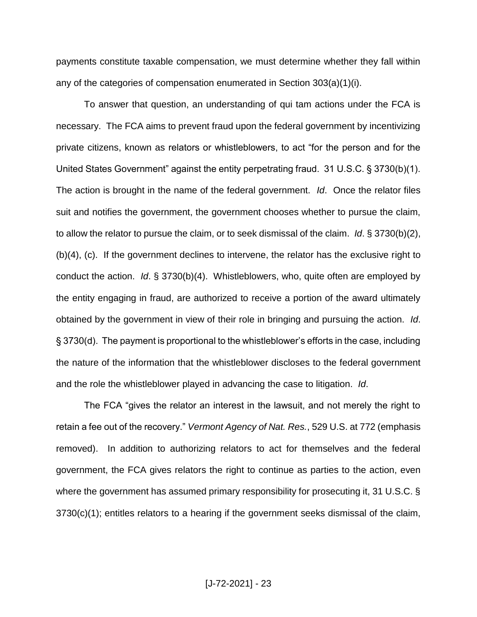payments constitute taxable compensation, we must determine whether they fall within any of the categories of compensation enumerated in Section 303(a)(1)(i).

To answer that question, an understanding of qui tam actions under the FCA is necessary. The FCA aims to prevent fraud upon the federal government by incentivizing private citizens, known as relators or whistleblowers, to act "for the person and for the United States Government" against the entity perpetrating fraud. 31 U.S.C. § 3730(b)(1). The action is brought in the name of the federal government. *Id*. Once the relator files suit and notifies the government, the government chooses whether to pursue the claim, to allow the relator to pursue the claim, or to seek dismissal of the claim. *Id*. § 3730(b)(2), (b)(4), (c). If the government declines to intervene, the relator has the exclusive right to conduct the action. *Id*. § 3730(b)(4). Whistleblowers, who, quite often are employed by the entity engaging in fraud, are authorized to receive a portion of the award ultimately obtained by the government in view of their role in bringing and pursuing the action. *Id*. § 3730(d). The payment is proportional to the whistleblower's efforts in the case, including the nature of the information that the whistleblower discloses to the federal government and the role the whistleblower played in advancing the case to litigation. *Id*.

The FCA "gives the relator an interest in the lawsuit, and not merely the right to retain a fee out of the recovery." *Vermont Agency of Nat. Res.*, 529 U.S. at 772 (emphasis removed). In addition to authorizing relators to act for themselves and the federal government, the FCA gives relators the right to continue as parties to the action, even where the government has assumed primary responsibility for prosecuting it, 31 U.S.C. § 3730(c)(1); entitles relators to a hearing if the government seeks dismissal of the claim,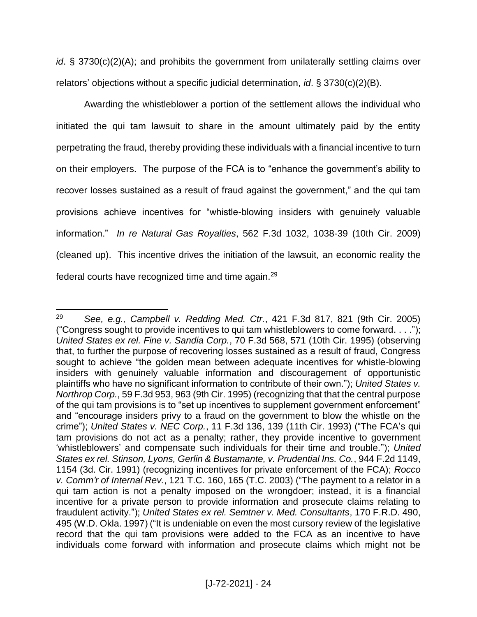*id*. § 3730(c)(2)(A); and prohibits the government from unilaterally settling claims over relators' objections without a specific judicial determination, *id*. § 3730(c)(2)(B).

Awarding the whistleblower a portion of the settlement allows the individual who initiated the qui tam lawsuit to share in the amount ultimately paid by the entity perpetrating the fraud, thereby providing these individuals with a financial incentive to turn on their employers. The purpose of the FCA is to "enhance the government's ability to recover losses sustained as a result of fraud against the government," and the qui tam provisions achieve incentives for "whistle-blowing insiders with genuinely valuable information." *In re Natural Gas Royalties*, 562 F.3d 1032, 1038-39 (10th Cir. 2009) (cleaned up). This incentive drives the initiation of the lawsuit, an economic reality the federal courts have recognized time and time again.<sup>29</sup>

 $\overline{a}$ <sup>29</sup> *See, e.g., Campbell v. Redding Med. Ctr.*, 421 F.3d 817, 821 (9th Cir. 2005) ("Congress sought to provide incentives to qui tam whistleblowers to come forward. . . ."); *United States ex rel. Fine v. Sandia Corp.*, 70 F.3d 568, 571 (10th Cir. 1995) (observing that, to further the purpose of recovering losses sustained as a result of fraud, Congress sought to achieve "the golden mean between adequate incentives for whistle-blowing insiders with genuinely valuable information and discouragement of opportunistic plaintiffs who have no significant information to contribute of their own."); *United States v. Northrop Corp.*, 59 F.3d 953, 963 (9th Cir. 1995) (recognizing that that the central purpose of the qui tam provisions is to "set up incentives to supplement government enforcement" and "encourage insiders privy to a fraud on the government to blow the whistle on the crime"); *United States v. NEC Corp.*, 11 F.3d 136, 139 (11th Cir. 1993) ("The FCA's qui tam provisions do not act as a penalty; rather, they provide incentive to government 'whistleblowers' and compensate such individuals for their time and trouble."); *United States ex rel. Stinson, Lyons, Gerlin & Bustamante, v. Prudential Ins. Co.*, 944 F.2d 1149, 1154 (3d. Cir. 1991) (recognizing incentives for private enforcement of the FCA); *Rocco v. Comm'r of Internal Rev.*, 121 T.C. 160, 165 (T.C. 2003) ("The payment to a relator in a qui tam action is not a penalty imposed on the wrongdoer; instead, it is a financial incentive for a private person to provide information and prosecute claims relating to fraudulent activity."); *United States ex rel. Semtner v. Med. Consultants*, 170 F.R.D. 490, 495 (W.D. Okla. 1997) ("It is undeniable on even the most cursory review of the legislative record that the qui tam provisions were added to the FCA as an incentive to have individuals come forward with information and prosecute claims which might not be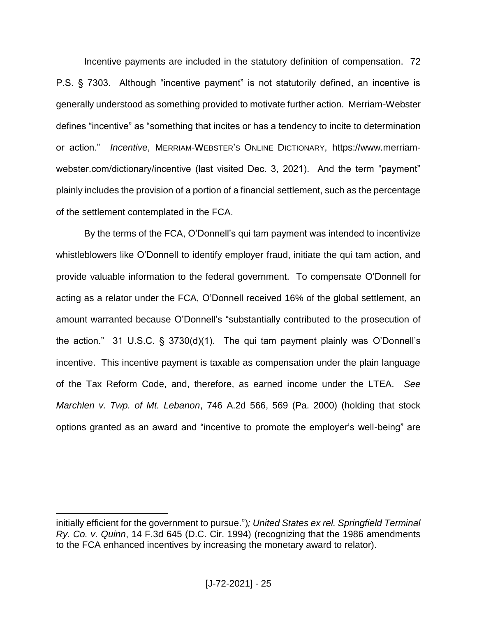Incentive payments are included in the statutory definition of compensation. 72 P.S. § 7303. Although "incentive payment" is not statutorily defined, an incentive is generally understood as something provided to motivate further action. Merriam-Webster defines "incentive" as "something that incites or has a tendency to incite to determination or action." *Incentive*, MERRIAM-WEBSTER'S ONLINE DICTIONARY, https://www.merriamwebster.com/dictionary/incentive (last visited Dec. 3, 2021). And the term "payment" plainly includes the provision of a portion of a financial settlement, such as the percentage of the settlement contemplated in the FCA.

By the terms of the FCA, O'Donnell's qui tam payment was intended to incentivize whistleblowers like O'Donnell to identify employer fraud, initiate the qui tam action, and provide valuable information to the federal government. To compensate O'Donnell for acting as a relator under the FCA, O'Donnell received 16% of the global settlement, an amount warranted because O'Donnell's "substantially contributed to the prosecution of the action." 31 U.S.C. § 3730(d)(1). The qui tam payment plainly was O'Donnell's incentive. This incentive payment is taxable as compensation under the plain language of the Tax Reform Code, and, therefore, as earned income under the LTEA. *See Marchlen v. Twp. of Mt. Lebanon*, 746 A.2d 566, 569 (Pa. 2000) (holding that stock options granted as an award and "incentive to promote the employer's well-being" are

initially efficient for the government to pursue.")*; United States ex rel. Springfield Terminal Ry. Co. v. Quinn*, 14 F.3d 645 (D.C. Cir. 1994) (recognizing that the 1986 amendments to the FCA enhanced incentives by increasing the monetary award to relator).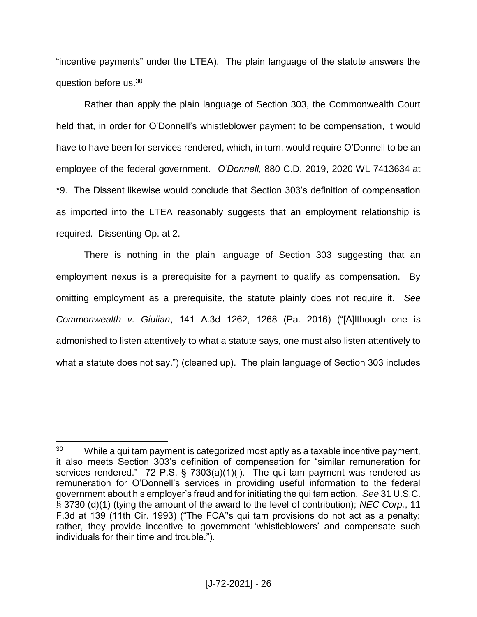"incentive payments" under the LTEA). The plain language of the statute answers the question before us.<sup>30</sup>

Rather than apply the plain language of Section 303, the Commonwealth Court held that, in order for O'Donnell's whistleblower payment to be compensation, it would have to have been for services rendered, which, in turn, would require O'Donnell to be an employee of the federal government. *O'Donnell,* 880 C.D. 2019, 2020 WL 7413634 at \*9. The Dissent likewise would conclude that Section 303's definition of compensation as imported into the LTEA reasonably suggests that an employment relationship is required. Dissenting Op. at 2.

There is nothing in the plain language of Section 303 suggesting that an employment nexus is a prerequisite for a payment to qualify as compensation. By omitting employment as a prerequisite, the statute plainly does not require it. *See Commonwealth v. Giulian*, 141 A.3d 1262, 1268 (Pa. 2016) ("[A]lthough one is admonished to listen attentively to what a statute says, one must also listen attentively to what a statute does not say.") (cleaned up). The plain language of Section 303 includes

 $\overline{a}$ <sup>30</sup> While a qui tam payment is categorized most aptly as a taxable incentive payment, it also meets Section 303's definition of compensation for "similar remuneration for services rendered." 72 P.S. § 7303(a)(1)(i). The qui tam payment was rendered as remuneration for O'Donnell's services in providing useful information to the federal government about his employer's fraud and for initiating the qui tam action. *See* 31 U.S.C. § 3730 (d)(1) (tying the amount of the award to the level of contribution); *NEC Corp.*, 11 F.3d at 139 (11th Cir. 1993) ("The FCA''s qui tam provisions do not act as a penalty; rather, they provide incentive to government 'whistleblowers' and compensate such individuals for their time and trouble.").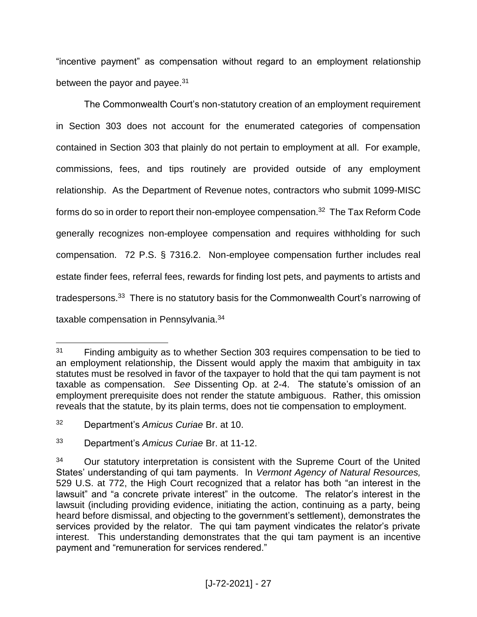"incentive payment" as compensation without regard to an employment relationship between the payor and payee.<sup>31</sup>

The Commonwealth Court's non-statutory creation of an employment requirement in Section 303 does not account for the enumerated categories of compensation contained in Section 303 that plainly do not pertain to employment at all. For example, commissions, fees, and tips routinely are provided outside of any employment relationship. As the Department of Revenue notes, contractors who submit 1099-MISC forms do so in order to report their non-employee compensation.<sup>32</sup> The Tax Reform Code generally recognizes non-employee compensation and requires withholding for such compensation. 72 P.S. § 7316.2. Non-employee compensation further includes real estate finder fees, referral fees, rewards for finding lost pets, and payments to artists and tradespersons.<sup>33</sup> There is no statutory basis for the Commonwealth Court's narrowing of taxable compensation in Pennsylvania.<sup>34</sup>

<sup>&</sup>lt;sup>31</sup> Finding ambiguity as to whether Section 303 requires compensation to be tied to an employment relationship, the Dissent would apply the maxim that ambiguity in tax statutes must be resolved in favor of the taxpayer to hold that the qui tam payment is not taxable as compensation. *See* Dissenting Op. at 2-4. The statute's omission of an employment prerequisite does not render the statute ambiguous. Rather, this omission reveals that the statute, by its plain terms, does not tie compensation to employment.

<sup>32</sup> Department's *Amicus Curiae* Br. at 10.

<sup>33</sup> Department's *Amicus Curiae* Br. at 11-12.

<sup>&</sup>lt;sup>34</sup> Our statutory interpretation is consistent with the Supreme Court of the United States' understanding of qui tam payments. In *Vermont Agency of Natural Resources,* 529 U.S. at 772, the High Court recognized that a relator has both "an interest in the lawsuit" and "a concrete private interest" in the outcome. The relator's interest in the lawsuit (including providing evidence, initiating the action, continuing as a party, being heard before dismissal, and objecting to the government's settlement), demonstrates the services provided by the relator. The qui tam payment vindicates the relator's private interest. This understanding demonstrates that the qui tam payment is an incentive payment and "remuneration for services rendered."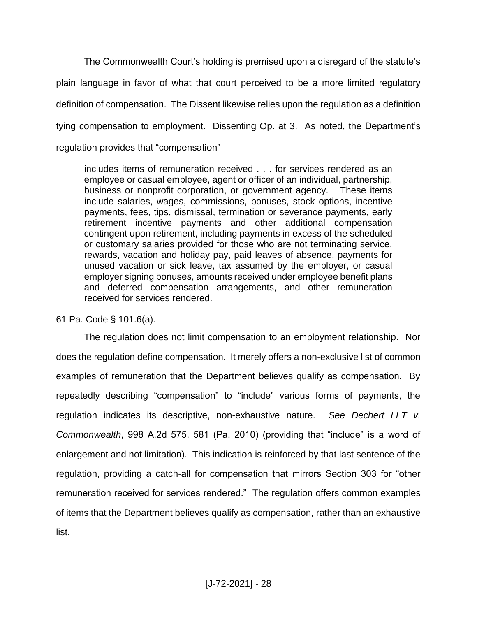The Commonwealth Court's holding is premised upon a disregard of the statute's plain language in favor of what that court perceived to be a more limited regulatory definition of compensation. The Dissent likewise relies upon the regulation as a definition tying compensation to employment. Dissenting Op. at 3. As noted, the Department's regulation provides that "compensation"

includes items of remuneration received . . . for services rendered as an employee or casual employee, agent or officer of an individual, partnership, business or nonprofit corporation, or government agency. These items include salaries, wages, commissions, bonuses, stock options, incentive payments, fees, tips, dismissal, termination or severance payments, early retirement incentive payments and other additional compensation contingent upon retirement, including payments in excess of the scheduled or customary salaries provided for those who are not terminating service, rewards, vacation and holiday pay, paid leaves of absence, payments for unused vacation or sick leave, tax assumed by the employer, or casual employer signing bonuses, amounts received under employee benefit plans and deferred compensation arrangements, and other remuneration received for services rendered.

61 Pa. Code § 101.6(a).

The regulation does not limit compensation to an employment relationship. Nor does the regulation define compensation. It merely offers a non-exclusive list of common examples of remuneration that the Department believes qualify as compensation. By repeatedly describing "compensation" to "include" various forms of payments, the regulation indicates its descriptive, non-exhaustive nature. *See Dechert LLT v. Commonwealth*, 998 A.2d 575, 581 (Pa. 2010) (providing that "include" is a word of enlargement and not limitation). This indication is reinforced by that last sentence of the regulation, providing a catch-all for compensation that mirrors Section 303 for "other remuneration received for services rendered." The regulation offers common examples of items that the Department believes qualify as compensation, rather than an exhaustive list.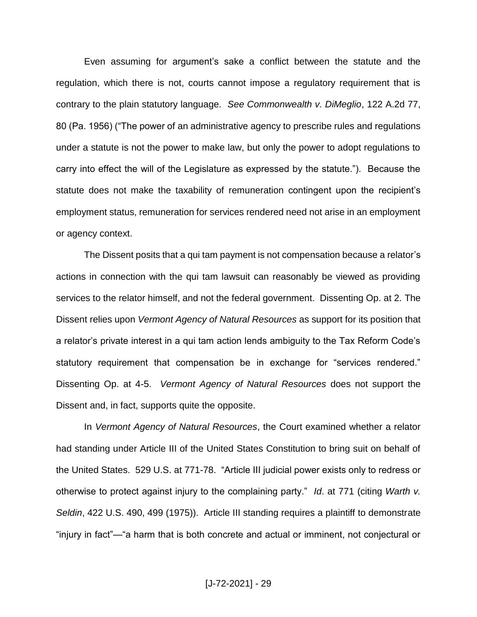Even assuming for argument's sake a conflict between the statute and the regulation, which there is not, courts cannot impose a regulatory requirement that is contrary to the plain statutory language*. See Commonwealth v. DiMeglio*, 122 A.2d 77, 80 (Pa. 1956) ("The power of an administrative agency to prescribe rules and regulations under a statute is not the power to make law, but only the power to adopt regulations to carry into effect the will of the Legislature as expressed by the statute."). Because the statute does not make the taxability of remuneration contingent upon the recipient's employment status, remuneration for services rendered need not arise in an employment or agency context.

The Dissent posits that a qui tam payment is not compensation because a relator's actions in connection with the qui tam lawsuit can reasonably be viewed as providing services to the relator himself, and not the federal government. Dissenting Op. at 2. The Dissent relies upon *Vermont Agency of Natural Resources* as support for its position that a relator's private interest in a qui tam action lends ambiguity to the Tax Reform Code's statutory requirement that compensation be in exchange for "services rendered." Dissenting Op. at 4-5. *Vermont Agency of Natural Resources* does not support the Dissent and, in fact, supports quite the opposite.

In *Vermont Agency of Natural Resources*, the Court examined whether a relator had standing under Article III of the United States Constitution to bring suit on behalf of the United States. 529 U.S. at 771-78. "Article III judicial power exists only to redress or otherwise to protect against injury to the complaining party." *Id*. at 771 (citing *Warth v. Seldin*, 422 U.S. 490, 499 (1975)). Article III standing requires a plaintiff to demonstrate "injury in fact"—"a harm that is both concrete and actual or imminent, not conjectural or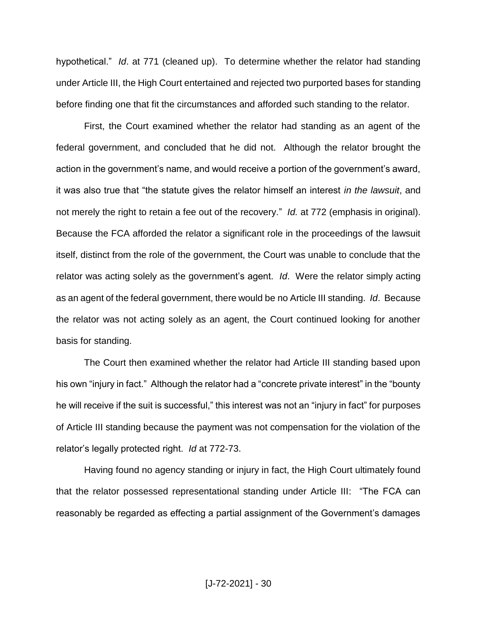hypothetical." *Id*. at 771 (cleaned up). To determine whether the relator had standing under Article III, the High Court entertained and rejected two purported bases for standing before finding one that fit the circumstances and afforded such standing to the relator.

First, the Court examined whether the relator had standing as an agent of the federal government, and concluded that he did not. Although the relator brought the action in the government's name, and would receive a portion of the government's award, it was also true that "the statute gives the relator himself an interest *in the lawsuit*, and not merely the right to retain a fee out of the recovery." *Id.* at 772 (emphasis in original). Because the FCA afforded the relator a significant role in the proceedings of the lawsuit itself, distinct from the role of the government, the Court was unable to conclude that the relator was acting solely as the government's agent. *Id*. Were the relator simply acting as an agent of the federal government, there would be no Article III standing. *Id*. Because the relator was not acting solely as an agent, the Court continued looking for another basis for standing.

The Court then examined whether the relator had Article III standing based upon his own "injury in fact." Although the relator had a "concrete private interest" in the "bounty he will receive if the suit is successful," this interest was not an "injury in fact" for purposes of Article III standing because the payment was not compensation for the violation of the relator's legally protected right. *Id* at 772-73.

Having found no agency standing or injury in fact, the High Court ultimately found that the relator possessed representational standing under Article III: "The FCA can reasonably be regarded as effecting a partial assignment of the Government's damages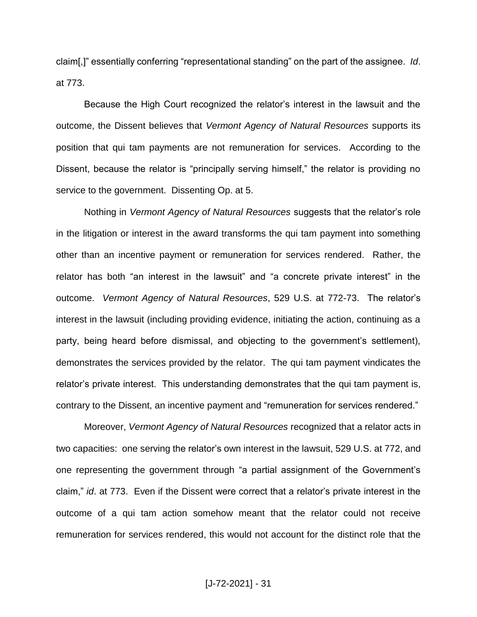claim[,]" essentially conferring "representational standing" on the part of the assignee. *Id*. at 773.

Because the High Court recognized the relator's interest in the lawsuit and the outcome, the Dissent believes that *Vermont Agency of Natural Resources* supports its position that qui tam payments are not remuneration for services. According to the Dissent, because the relator is "principally serving himself," the relator is providing no service to the government. Dissenting Op. at 5.

Nothing in *Vermont Agency of Natural Resources* suggests that the relator's role in the litigation or interest in the award transforms the qui tam payment into something other than an incentive payment or remuneration for services rendered. Rather, the relator has both "an interest in the lawsuit" and "a concrete private interest" in the outcome. *Vermont Agency of Natural Resources*, 529 U.S. at 772-73. The relator's interest in the lawsuit (including providing evidence, initiating the action, continuing as a party, being heard before dismissal, and objecting to the government's settlement), demonstrates the services provided by the relator. The qui tam payment vindicates the relator's private interest. This understanding demonstrates that the qui tam payment is, contrary to the Dissent, an incentive payment and "remuneration for services rendered."

Moreover, *Vermont Agency of Natural Resources* recognized that a relator acts in two capacities: one serving the relator's own interest in the lawsuit, 529 U.S. at 772, and one representing the government through "a partial assignment of the Government's claim," *id*. at 773. Even if the Dissent were correct that a relator's private interest in the outcome of a qui tam action somehow meant that the relator could not receive remuneration for services rendered, this would not account for the distinct role that the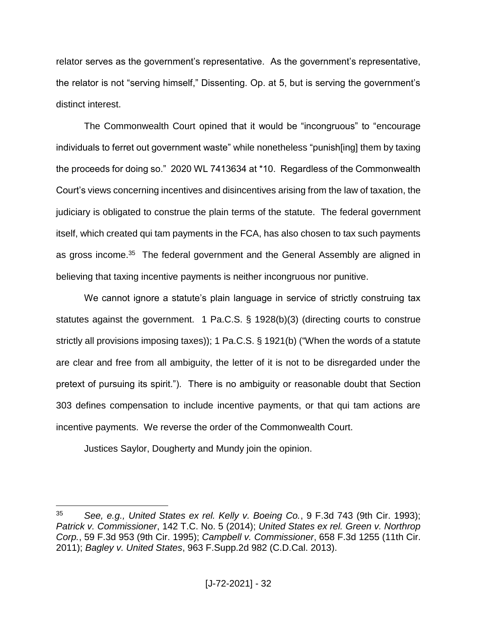relator serves as the government's representative. As the government's representative, the relator is not "serving himself," Dissenting. Op. at 5, but is serving the government's distinct interest.

The Commonwealth Court opined that it would be "incongruous" to "encourage individuals to ferret out government waste" while nonetheless "punish[ing] them by taxing the proceeds for doing so." 2020 WL 7413634 at \*10. Regardless of the Commonwealth Court's views concerning incentives and disincentives arising from the law of taxation, the judiciary is obligated to construe the plain terms of the statute. The federal government itself, which created qui tam payments in the FCA, has also chosen to tax such payments as gross income.<sup>35</sup> The federal government and the General Assembly are aligned in believing that taxing incentive payments is neither incongruous nor punitive.

We cannot ignore a statute's plain language in service of strictly construing tax statutes against the government. 1 Pa.C.S. § 1928(b)(3) (directing courts to construe strictly all provisions imposing taxes)); 1 Pa.C.S. § 1921(b) ("When the words of a statute are clear and free from all ambiguity, the letter of it is not to be disregarded under the pretext of pursuing its spirit."). There is no ambiguity or reasonable doubt that Section 303 defines compensation to include incentive payments, or that qui tam actions are incentive payments. We reverse the order of the Commonwealth Court.

Justices Saylor, Dougherty and Mundy join the opinion.

<sup>35</sup> *See, e.g., United States ex rel. Kelly v. Boeing Co.*, 9 F.3d 743 (9th Cir. 1993); *Patrick v. Commissioner*, 142 T.C. No. 5 (2014); *United States ex rel. Green v. Northrop Corp.*, 59 F.3d 953 (9th Cir. 1995); *Campbell v. Commissioner*, 658 F.3d 1255 (11th Cir. 2011); *Bagley v. United States*, 963 F.Supp.2d 982 (C.D.Cal. 2013).